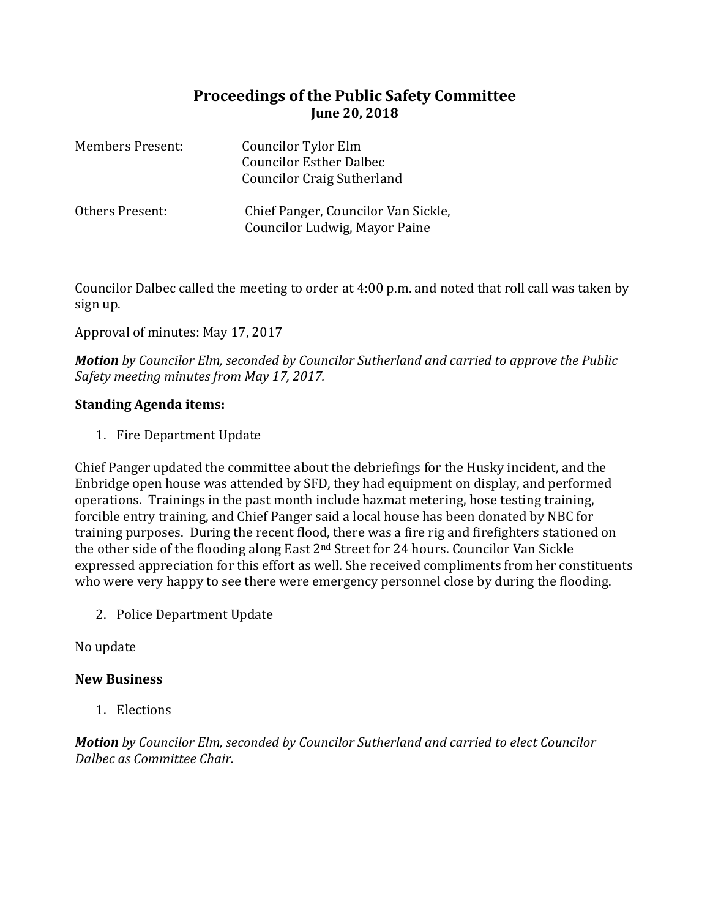## **Proceedings of the Public Safety Committee June 20, 2018**

| <b>Members Present:</b> | Councilor Tylor Elm<br><b>Councilor Esther Dalbec</b><br><b>Councilor Craig Sutherland</b> |
|-------------------------|--------------------------------------------------------------------------------------------|
| Others Present:         | Chief Panger, Councilor Van Sickle,<br>Councilor Ludwig, Mayor Paine                       |

Councilor Dalbec called the meeting to order at 4:00 p.m. and noted that roll call was taken by sign up.

Approval of minutes: May 17, 2017

*Motion by Councilor Elm, seconded by Councilor Sutherland and carried to approve the Public Safety meeting minutes from May 17, 2017.*

## **Standing Agenda items:**

1. Fire Department Update

Chief Panger updated the committee about the debriefings for the Husky incident, and the Enbridge open house was attended by SFD, they had equipment on display, and performed operations. Trainings in the past month include hazmat metering, hose testing training, forcible entry training, and Chief Panger said a local house has been donated by NBC for training purposes. During the recent flood, there was a fire rig and firefighters stationed on the other side of the flooding along East 2nd Street for 24 hours. Councilor Van Sickle expressed appreciation for this effort as well. She received compliments from her constituents who were very happy to see there were emergency personnel close by during the flooding.

2. Police Department Update

No update

## **New Business**

1. Elections

*Motion by Councilor Elm, seconded by Councilor Sutherland and carried to elect Councilor Dalbec as Committee Chair.*